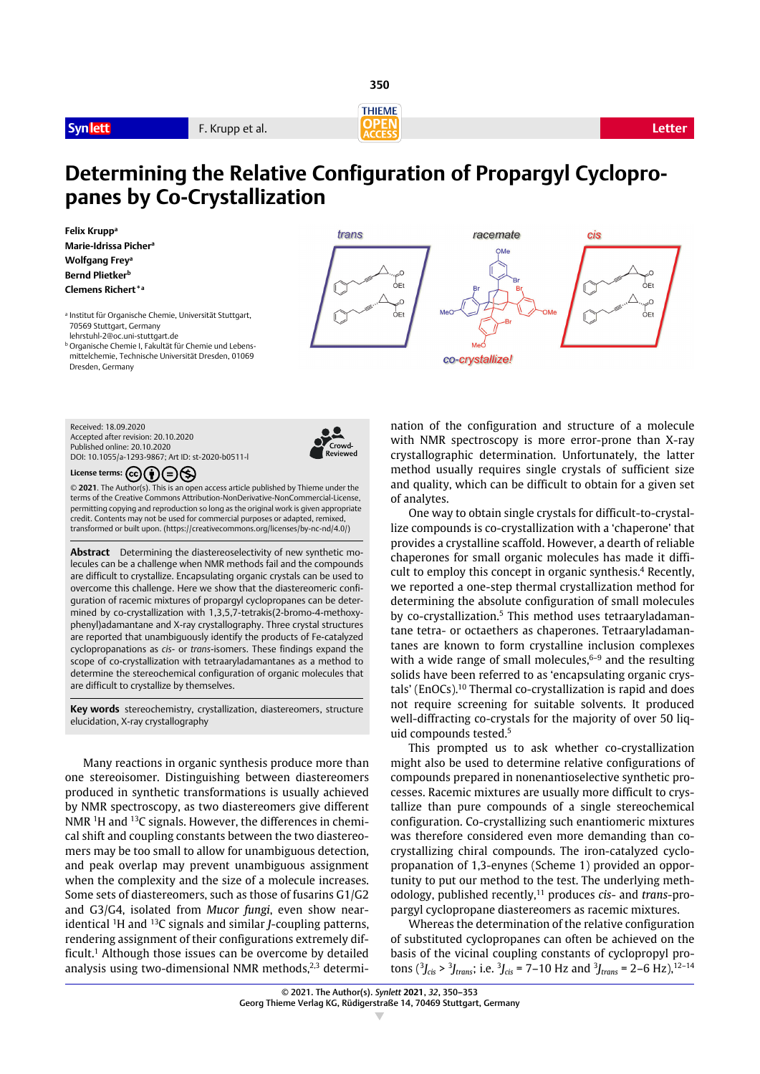**Synlett F. Krupp et al. Letter F. Krupp et al. Letter** 



**350**



# **Determining the Relative Configuration of Propargyl Cyclopropanes by Co-Crystallization**

trans

**Felix Kruppa Marie-Idrissa Pichera Wolfgang Frey<sup>a</sup> Bernd Plietker**b **Clemens Richert\*a**

<sup>a</sup> Institut für Organische Chemie, Universität Stuttgart, 70569 Stuttgart, Germany lehrstuhl-2@oc.uni-stuttgart.de <sup>b</sup> Organische Chemie I, Fakultät für Chemie und Lebens-

mittelchemie, Technische Universität Dresden, 01069 Dresden, Germany

co-crystallize!

 $\overline{C}$  $rac{1}{2}$ 

 $\Omega$ 

 $rac{1}{2}$ Et

racemate



Received: 18.09.2020 Accepted after revision: 20.10.2020 Published online: 20.10.2020 DOI: 10.1055/a-1293-9867; Art ID: st-2020-b0511-l



License terms:  $\left(\overline{c}\right)\left(\overline{r}\right)\left(\overline{z}\right)\left(\overline{z}\right)$ 

© **2021**. The Author(s). This is an open access article published by Thieme under the terms of the Creative Commons Attribution-NonDerivative-NonCommercial-License, permitting copying and reproduction so long as the original work is given appropriate credit. Contents may not be used for commercial purposes or adapted, remixed, transformed or built upon. (https://creativecommons.org/licenses/by-nc-nd/4.0/)

**Abstract** Determining the diastereoselectivity of new synthetic molecules can be a challenge when NMR methods fail and the compounds are difficult to crystallize. Encapsulating organic crystals can be used to overcome this challenge. Here we show that the diastereomeric configuration of racemic mixtures of propargyl cyclopropanes can be determined by co-crystallization with 1,3,5,7-tetrakis(2-bromo-4-methoxyphenyl)adamantane and X-ray crystallography. Three crystal structures are reported that unambiguously identify the products of Fe-catalyzed cyclopropanations as *cis*- or *trans*-isomers. These findings expand the scope of co-crystallization with tetraaryladamantanes as a method to determine the stereochemical configuration of organic molecules that are difficult to crystallize by themselves.

**Key words** stereochemistry, crystallization, diastereomers, structure elucidation, X-ray crystallography

Many reactions in organic synthesis produce more than one stereoisomer. Distinguishing between diastereomers produced in synthetic transformations is usually achieved by NMR spectroscopy, as two diastereomers give different NMR <sup>1</sup>H and <sup>13</sup>C signals. However, the differences in chemical shift and coupling constants between the two diastereomers may be too small to allow for unambiguous detection, and peak overlap may prevent unambiguous assignment when the complexity and the size of a molecule increases. Some sets of diastereomers, such as those of fusarins G1/G2 and G3/G4, isolated from *Mucor fungi*, even show nearidentical 1H and 13C signals and similar *J*-coupling patterns, rendering assignment of their configurations extremely difficult.<sup>1</sup> Although those issues can be overcome by detailed analysis using two-dimensional NMR methods, $2,3$  determination of the configuration and structure of a molecule with NMR spectroscopy is more error-prone than X-ray crystallographic determination. Unfortunately, the latter method usually requires single crystals of sufficient size and quality, which can be difficult to obtain for a given set of analytes.

One way to obtain single crystals for difficult-to-crystallize compounds is co-crystallization with a 'chaperone' that provides a crystalline scaffold. However, a dearth of reliable chaperones for small organic molecules has made it difficult to employ this concept in organic synthesis.4 Recently, we reported a one-step thermal crystallization method for determining the absolute configuration of small molecules by co-crystallization.5 This method uses tetraaryladamantane tetra- or octaethers as chaperones. Tetraaryladamantanes are known to form crystalline inclusion complexes with a wide range of small molecules, $6-9$  and the resulting solids have been referred to as 'encapsulating organic crystals' (EnOCs).10 Thermal co-crystallization is rapid and does not require screening for suitable solvents. It produced well-diffracting co-crystals for the majority of over 50 liquid compounds tested.5

This prompted us to ask whether co-crystallization might also be used to determine relative configurations of compounds prepared in nonenantioselective synthetic processes. Racemic mixtures are usually more difficult to crystallize than pure compounds of a single stereochemical configuration. Co-crystallizing such enantiomeric mixtures was therefore considered even more demanding than cocrystallizing chiral compounds. The iron-catalyzed cyclopropanation of 1,3-enynes (Scheme 1) provided an opportunity to put our method to the test. The underlying methodology, published recently,11 produces *cis*- and *trans*-propargyl cyclopropane diastereomers as racemic mixtures.

Whereas the determination of the relative configuration of substituted cyclopropanes can often be achieved on the basis of the vicinal coupling constants of cyclopropyl protons  $\left(\frac{3}{2}\right)_{\text{cis}} > \frac{3}{2}$ <sub>trans</sub>; i.e.  $\frac{3}{2}\right)_{\text{cis}} = 7 - 10$  Hz and  $\frac{3}{2}\right)_{\text{trans}} = 2 - 6$  Hz),  $^{12-14}$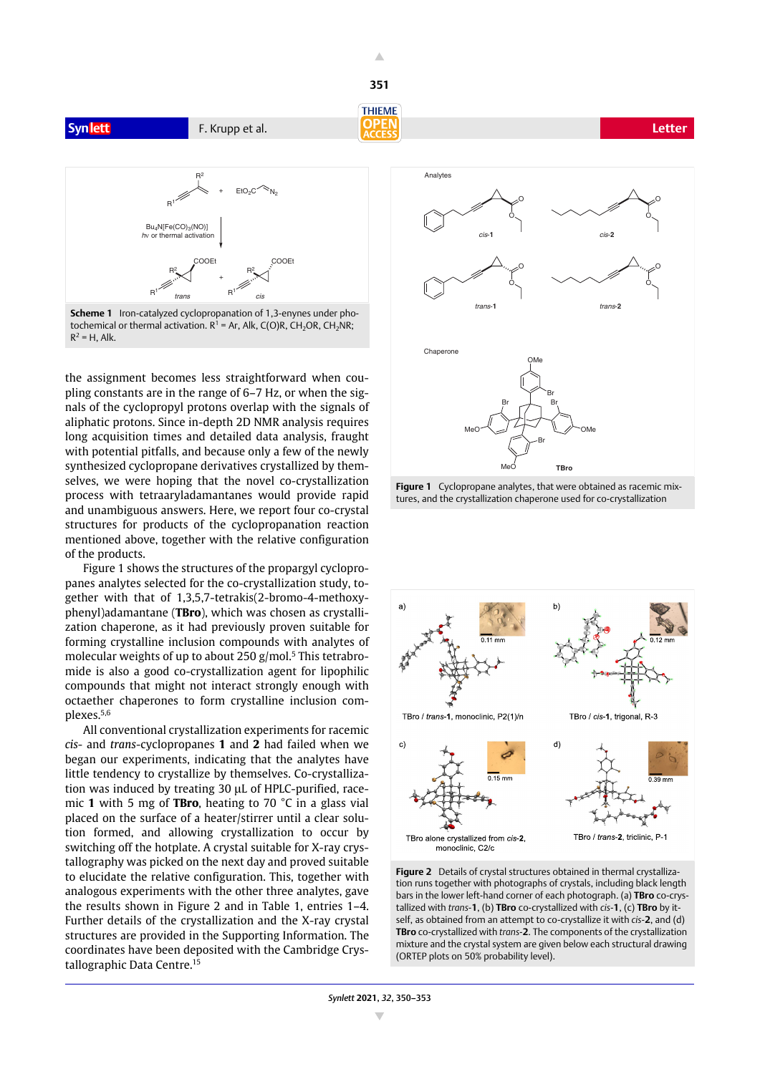**Synlett F. Krupp et al. Letter F. Krupp et al. Letter** 



**Scheme 1** Iron-catalyzed cyclopropanation of 1,3-enynes under photochemical or thermal activation.  $R^1$  = Ar, Alk, C(O)R, CH<sub>2</sub>OR, CH<sub>2</sub>NR;  $R^2 = H$ , Alk.

the assignment becomes less straightforward when coupling constants are in the range of 6–7 Hz, or when the signals of the cyclopropyl protons overlap with the signals of aliphatic protons. Since in-depth 2D NMR analysis requires long acquisition times and detailed data analysis, fraught with potential pitfalls, and because only a few of the newly synthesized cyclopropane derivatives crystallized by themselves, we were hoping that the novel co-crystallization process with tetraaryladamantanes would provide rapid and unambiguous answers. Here, we report four co-crystal structures for products of the cyclopropanation reaction mentioned above, together with the relative configuration of the products.

Figure 1 shows the structures of the propargyl cyclopropanes analytes selected for the co-crystallization study, together with that of 1,3,5,7-tetrakis(2-bromo-4-methoxyphenyl)adamantane (**TBro**), which was chosen as crystallization chaperone, as it had previously proven suitable for forming crystalline inclusion compounds with analytes of molecular weights of up to about 250 g/mol.<sup>5</sup> This tetrabromide is also a good co-crystallization agent for lipophilic compounds that might not interact strongly enough with octaether chaperones to form crystalline inclusion complexes.5,6

All conventional crystallization experiments for racemic *cis*- and *trans*-cyclopropanes **1** and **2** had failed when we began our experiments, indicating that the analytes have little tendency to crystallize by themselves. Co-crystallization was induced by treating 30 µL of HPLC-purified, racemic **1** with 5 mg of **TBro**, heating to 70 °C in a glass vial placed on the surface of a heater/stirrer until a clear solution formed, and allowing crystallization to occur by switching off the hotplate. A crystal suitable for X-ray crystallography was picked on the next day and proved suitable to elucidate the relative configuration. This, together with analogous experiments with the other three analytes, gave the results shown in Figure 2 and in Table 1, entries 1–4. Further details of the crystallization and the X-ray crystal structures are provided in the Supporting Information. The coordinates have been deposited with the Cambridge Crystallographic Data Centre.15



**Figure 1** Cyclopropane analytes, that were obtained as racemic mixtures, and the crystallization chaperone used for co-crystallization





Δ **351**

**THIEME** 

*Synlett* **2021**, *32*, 350–353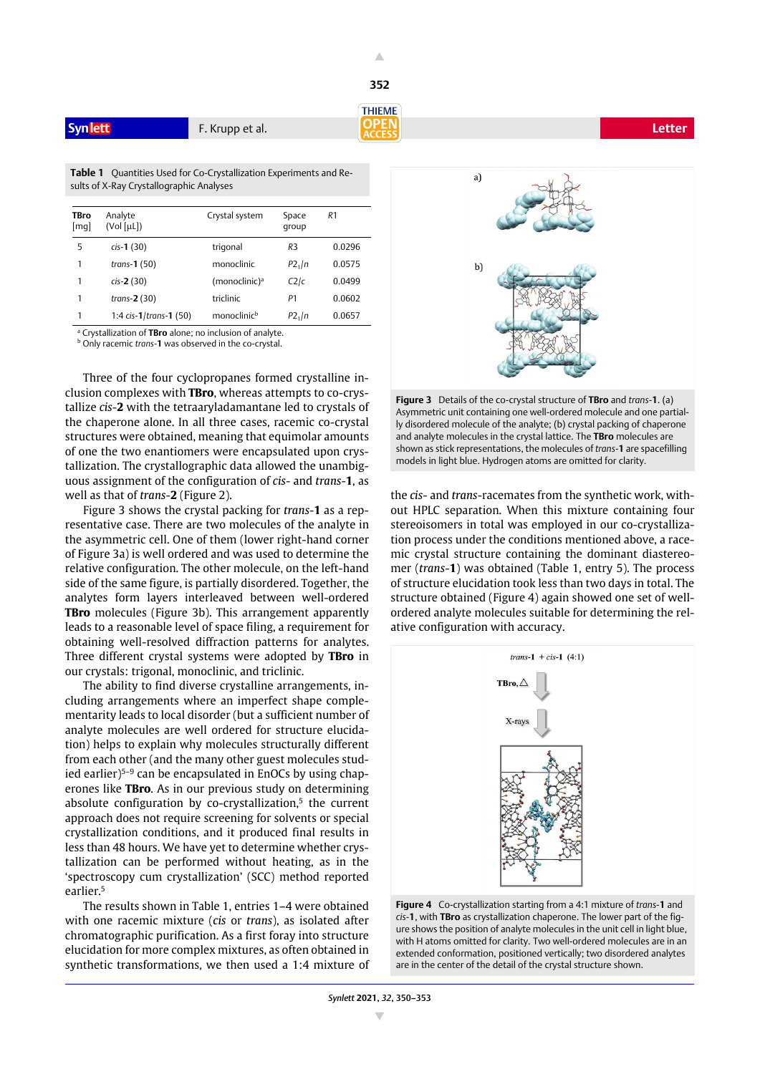

**352**

**Table 1** Quantities Used for Co-Crystallization Experiments and Results of X-Ray Crystallographic Analyses

| <b>TBro</b><br>[mq] | Analyte<br>(Vol [µL])     | Crystal system            | Space<br>group     | R1     |
|---------------------|---------------------------|---------------------------|--------------------|--------|
| 5                   | $cis-1(30)$               | trigonal                  | R <sub>3</sub>     | 0.0296 |
| 1                   | trans- $1(50)$            | monoclinic                | P2 <sub>1</sub> /n | 0.0575 |
| 1                   | $cis-2(30)$               | (monoclinic) <sup>a</sup> | C2/c               | 0.0499 |
| 1                   | trans- $2(30)$            | triclinic                 | P1                 | 0.0602 |
| 1                   | 1:4 $cis-1$ (trans-1 (50) | monoclinic <sup>b</sup>   | P2 <sub>1</sub> /n | 0.0657 |
|                     |                           |                           |                    |        |

a Crystallization of **TBro** alone; no inclusion of analyte.

b Only racemic *trans*-**1** was observed in the co-crystal.

Three of the four cyclopropanes formed crystalline inclusion complexes with **TBro**, whereas attempts to co-crystallize *cis*-**2** with the tetraaryladamantane led to crystals of the chaperone alone. In all three cases, racemic co-crystal structures were obtained, meaning that equimolar amounts of one the two enantiomers were encapsulated upon crystallization. The crystallographic data allowed the unambiguous assignment of the configuration of *cis*- and *trans*-**1**, as well as that of *trans*-**2** (Figure 2).

Figure 3 shows the crystal packing for *trans*-**1** as a representative case. There are two molecules of the analyte in the asymmetric cell. One of them (lower right-hand corner of Figure 3a) is well ordered and was used to determine the relative configuration. The other molecule, on the left-hand side of the same figure, is partially disordered. Together, the analytes form layers interleaved between well-ordered **TBro** molecules (Figure 3b). This arrangement apparently leads to a reasonable level of space filing, a requirement for obtaining well-resolved diffraction patterns for analytes. Three different crystal systems were adopted by **TBro** in our crystals: trigonal, monoclinic, and triclinic.

The ability to find diverse crystalline arrangements, including arrangements where an imperfect shape complementarity leads to local disorder (but a sufficient number of analyte molecules are well ordered for structure elucidation) helps to explain why molecules structurally different from each other (and the many other guest molecules studied earlier)5–9 can be encapsulated in EnOCs by using chaperones like **TBro**. As in our previous study on determining absolute configuration by co-crystallization.<sup>5</sup> the current approach does not require screening for solvents or special crystallization conditions, and it produced final results in less than 48 hours. We have yet to determine whether crystallization can be performed without heating, as in the 'spectroscopy cum crystallization' (SCC) method reported earlier.5

The results shown in Table 1, entries 1–4 were obtained with one racemic mixture (*cis* or *trans*), as isolated after chromatographic purification. As a first foray into structure elucidation for more complex mixtures, as often obtained in synthetic transformations, we then used a 1:4 mixture of



**Figure 3** Details of the co-crystal structure of **TBro** and *trans*-**1**. (a) Asymmetric unit containing one well-ordered molecule and one partially disordered molecule of the analyte; (b) crystal packing of chaperone and analyte molecules in the crystal lattice. The **TBro** molecules are shown as stick representations, the molecules of *trans*-**1** are spacefilling models in light blue. Hydrogen atoms are omitted for clarity.

the *cis*- and *trans*-racemates from the synthetic work, without HPLC separation. When this mixture containing four stereoisomers in total was employed in our co-crystallization process under the conditions mentioned above, a racemic crystal structure containing the dominant diastereomer (*trans*-**1**) was obtained (Table 1, entry 5). The process of structure elucidation took less than two days in total. The structure obtained (Figure 4) again showed one set of wellordered analyte molecules suitable for determining the relative configuration with accuracy.



**Figure 4** Co-crystallization starting from a 4:1 mixture of *trans*-**1** and *cis*-**1**, with **TBro** as crystallization chaperone. The lower part of the figure shows the position of analyte molecules in the unit cell in light blue, with H atoms omitted for clarity. Two well-ordered molecules are in an extended conformation, positioned vertically; two disordered analytes are in the center of the detail of the crystal structure shown.